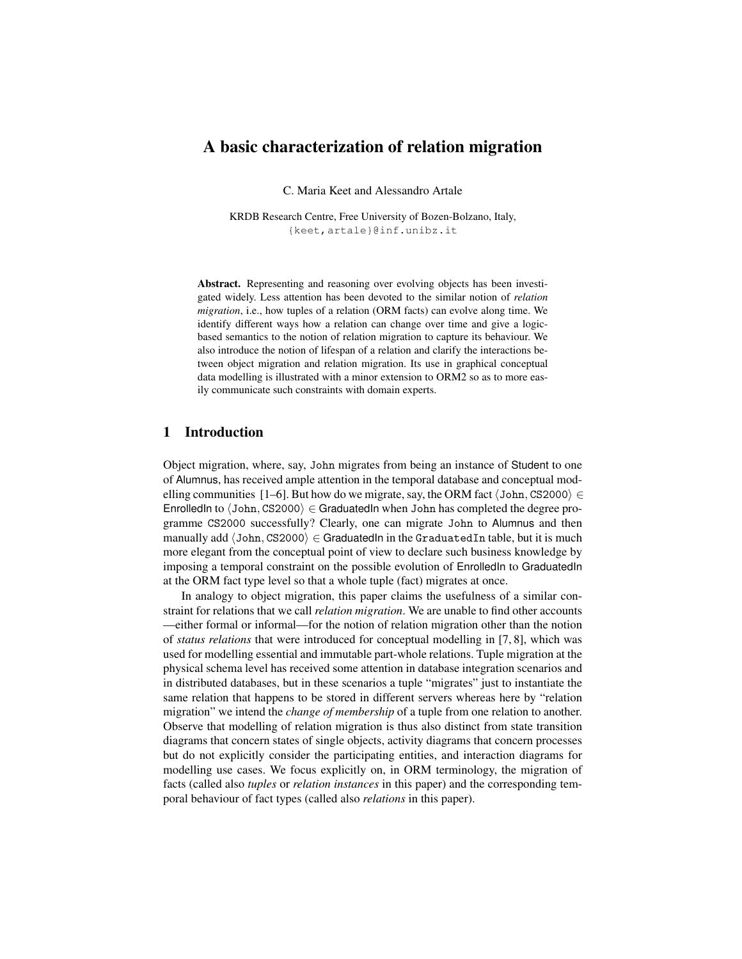# A basic characterization of relation migration

C. Maria Keet and Alessandro Artale

KRDB Research Centre, Free University of Bozen-Bolzano, Italy, {keet,artale}@inf.unibz.it

Abstract. Representing and reasoning over evolving objects has been investigated widely. Less attention has been devoted to the similar notion of *relation migration*, i.e., how tuples of a relation (ORM facts) can evolve along time. We identify different ways how a relation can change over time and give a logicbased semantics to the notion of relation migration to capture its behaviour. We also introduce the notion of lifespan of a relation and clarify the interactions between object migration and relation migration. Its use in graphical conceptual data modelling is illustrated with a minor extension to ORM2 so as to more easily communicate such constraints with domain experts.

# 1 Introduction

Object migration, where, say, John migrates from being an instance of Student to one of Alumnus, has received ample attention in the temporal database and conceptual modelling communities [1–6]. But how do we migrate, say, the ORM fact  $\langle$  John, CS2000 $\rangle \in$ EnrolledIn to  $\langle$  John, CS2000 $\rangle \in$  GraduatedIn when John has completed the degree programme CS2000 successfully? Clearly, one can migrate John to Alumnus and then manually add  $\langle$  John, CS2000 $\rangle \in$  GraduatedIn in the GraduatedIn table, but it is much more elegant from the conceptual point of view to declare such business knowledge by imposing a temporal constraint on the possible evolution of EnrolledIn to GraduatedIn at the ORM fact type level so that a whole tuple (fact) migrates at once.

In analogy to object migration, this paper claims the usefulness of a similar constraint for relations that we call *relation migration*. We are unable to find other accounts —either formal or informal—for the notion of relation migration other than the notion of *status relations* that were introduced for conceptual modelling in [7, 8], which was used for modelling essential and immutable part-whole relations. Tuple migration at the physical schema level has received some attention in database integration scenarios and in distributed databases, but in these scenarios a tuple "migrates" just to instantiate the same relation that happens to be stored in different servers whereas here by "relation migration" we intend the *change of membership* of a tuple from one relation to another. Observe that modelling of relation migration is thus also distinct from state transition diagrams that concern states of single objects, activity diagrams that concern processes but do not explicitly consider the participating entities, and interaction diagrams for modelling use cases. We focus explicitly on, in ORM terminology, the migration of facts (called also *tuples* or *relation instances* in this paper) and the corresponding temporal behaviour of fact types (called also *relations* in this paper).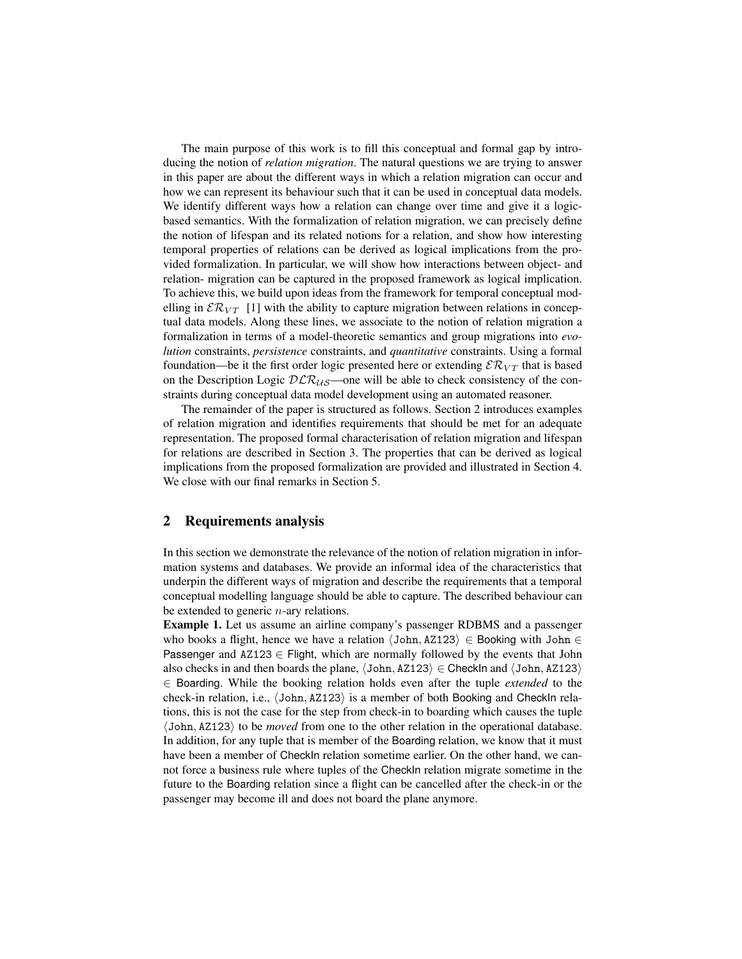The main purpose of this work is to fill this conceptual and formal gap by introducing the notion of *relation migration*. The natural questions we are trying to answer in this paper are about the different ways in which a relation migration can occur and how we can represent its behaviour such that it can be used in conceptual data models. We identify different ways how a relation can change over time and give it a logicbased semantics. With the formalization of relation migration, we can precisely define the notion of lifespan and its related notions for a relation, and show how interesting temporal properties of relations can be derived as logical implications from the provided formalization. In particular, we will show how interactions between object- and relation- migration can be captured in the proposed framework as logical implication. To achieve this, we build upon ideas from the framework for temporal conceptual modelling in  $\mathcal{ER}_{VT}$  [1] with the ability to capture migration between relations in conceptual data models. Along these lines, we associate to the notion of relation migration a formalization in terms of a model-theoretic semantics and group migrations into *evolution* constraints, *persistence* constraints, and *quantitative* constraints. Using a formal foundation—be it the first order logic presented here or extending  $\mathcal{ER}_{VT}$  that is based on the Description Logic  $DLR_{US}$ —one will be able to check consistency of the constraints during conceptual data model development using an automated reasoner.

The remainder of the paper is structured as follows. Section 2 introduces examples of relation migration and identifies requirements that should be met for an adequate representation. The proposed formal characterisation of relation migration and lifespan for relations are described in Section 3. The properties that can be derived as logical implications from the proposed formalization are provided and illustrated in Section 4. We close with our final remarks in Section 5.

### 2 Requirements analysis

In this section we demonstrate the relevance of the notion of relation migration in information systems and databases. We provide an informal idea of the characteristics that underpin the different ways of migration and describe the requirements that a temporal conceptual modelling language should be able to capture. The described behaviour can be extended to generic  $n$ -ary relations.

Example 1. Let us assume an airline company's passenger RDBMS and a passenger who books a flight, hence we have a relation  $\langle$  John, AZ123 $\rangle \in$  Booking with John  $\in$ Passenger and  $AZ123 \in$  Flight, which are normally followed by the events that John also checks in and then boards the plane,  $\langle$  John, AZ123 $\rangle$   $\in$  CheckIn and  $\langle$  John, AZ123 $\rangle$ ∈ Boarding. While the booking relation holds even after the tuple *extended* to the check-in relation, i.e.,  $\langle$  John, AZ123 $\rangle$  is a member of both Booking and CheckIn relations, this is not the case for the step from check-in to boarding which causes the tuple  $\langle$  John, AZ123 $\rangle$  to be *moved* from one to the other relation in the operational database. In addition, for any tuple that is member of the Boarding relation, we know that it must have been a member of CheckIn relation sometime earlier. On the other hand, we cannot force a business rule where tuples of the CheckIn relation migrate sometime in the future to the Boarding relation since a flight can be cancelled after the check-in or the passenger may become ill and does not board the plane anymore.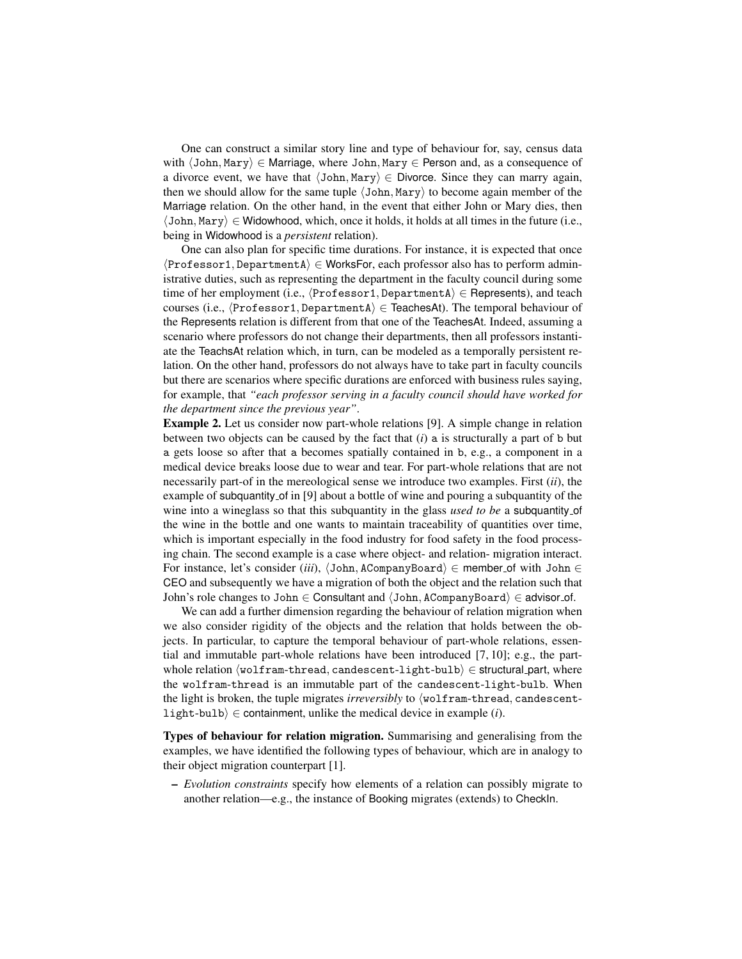One can construct a similar story line and type of behaviour for, say, census data with  $\langle$  John, Mary $\rangle \in$  Marriage, where John, Mary  $\in$  Person and, as a consequence of a divorce event, we have that  $\langle$  John, Mary $\rangle \in$  Divorce. Since they can marry again, then we should allow for the same tuple  $\langle$  John, Mary $\rangle$  to become again member of the Marriage relation. On the other hand, in the event that either John or Mary dies, then  $\langle$  John, Mary $\rangle \in$  Widowhood, which, once it holds, it holds at all times in the future (i.e., being in Widowhood is a *persistent* relation).

One can also plan for specific time durations. For instance, it is expected that once  $\langle$ Professor1, DepartmentA $\rangle \in$  WorksFor, each professor also has to perform administrative duties, such as representing the department in the faculty council during some time of her employment (i.e.,  $\langle$ Professor1, DepartmentA $\rangle \in$  Represents), and teach courses (i.e.,  $\langle$ Professor1, DepartmentA $\rangle \in$  TeachesAt). The temporal behaviour of the Represents relation is different from that one of the TeachesAt. Indeed, assuming a scenario where professors do not change their departments, then all professors instantiate the TeachsAt relation which, in turn, can be modeled as a temporally persistent relation. On the other hand, professors do not always have to take part in faculty councils but there are scenarios where specific durations are enforced with business rules saying, for example, that *"each professor serving in a faculty council should have worked for the department since the previous year"*.

Example 2. Let us consider now part-whole relations [9]. A simple change in relation between two objects can be caused by the fact that (*i*) a is structurally a part of b but a gets loose so after that a becomes spatially contained in b, e.g., a component in a medical device breaks loose due to wear and tear. For part-whole relations that are not necessarily part-of in the mereological sense we introduce two examples. First (*ii*), the example of subquantity of in [9] about a bottle of wine and pouring a subquantity of the wine into a wineglass so that this subquantity in the glass *used to be* a subquantity of the wine in the bottle and one wants to maintain traceability of quantities over time, which is important especially in the food industry for food safety in the food processing chain. The second example is a case where object- and relation- migration interact. For instance, let's consider (*iii*),  $\langle$  John, ACompanyBoard $\rangle \in$  member of with John  $\in$ CEO and subsequently we have a migration of both the object and the relation such that John's role changes to John  $\in$  Consultant and  $\langle$  John, ACompanyBoard $\rangle \in$  advisor of.

We can add a further dimension regarding the behaviour of relation migration when we also consider rigidity of the objects and the relation that holds between the objects. In particular, to capture the temporal behaviour of part-whole relations, essential and immutable part-whole relations have been introduced [7, 10]; e.g., the partwhole relation  $\langle$ wolfram-thread, candescent-light-bulb $\rangle \in$  structural part, where the wolfram-thread is an immutable part of the candescent-light-bulb. When the light is broken, the tuple migrates *irreversibly* to  $\langle$ wolfram-thread, candescentlight-bulb)  $\in$  containment, unlike the medical device in example (*i*).

Types of behaviour for relation migration. Summarising and generalising from the examples, we have identified the following types of behaviour, which are in analogy to their object migration counterpart [1].

– *Evolution constraints* specify how elements of a relation can possibly migrate to another relation—e.g., the instance of Booking migrates (extends) to CheckIn.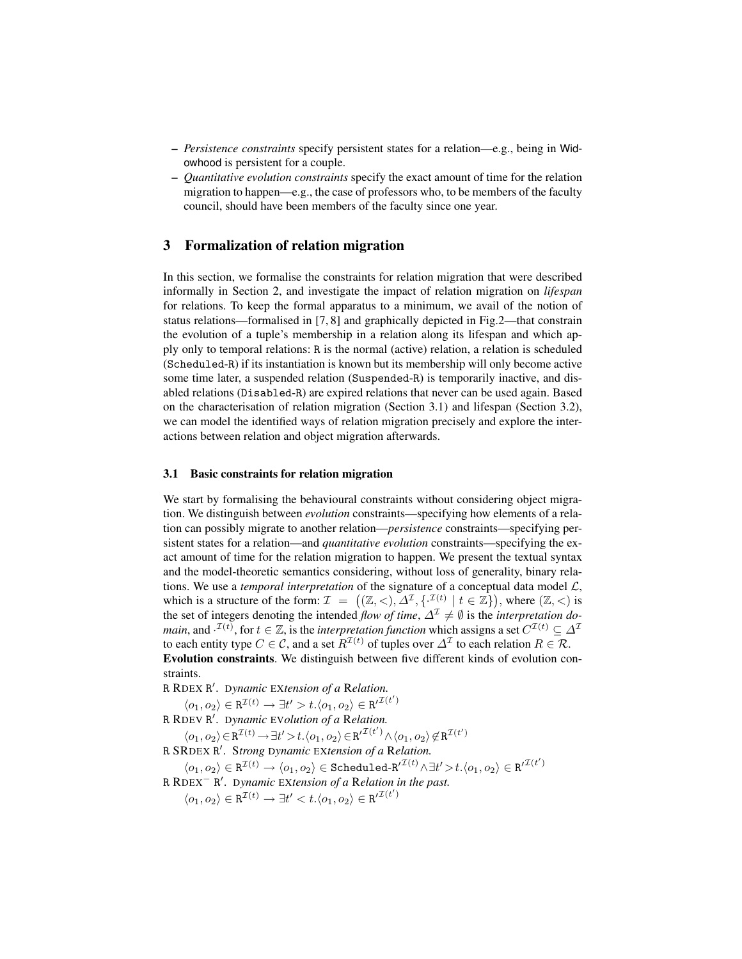- *Persistence constraints* specify persistent states for a relation—e.g., being in Widowhood is persistent for a couple.
- *Quantitative evolution constraints* specify the exact amount of time for the relation migration to happen—e.g., the case of professors who, to be members of the faculty council, should have been members of the faculty since one year.

# 3 Formalization of relation migration

In this section, we formalise the constraints for relation migration that were described informally in Section 2, and investigate the impact of relation migration on *lifespan* for relations. To keep the formal apparatus to a minimum, we avail of the notion of status relations—formalised in [7, 8] and graphically depicted in Fig.2—that constrain the evolution of a tuple's membership in a relation along its lifespan and which apply only to temporal relations: R is the normal (active) relation, a relation is scheduled (Scheduled-R) if its instantiation is known but its membership will only become active some time later, a suspended relation (Suspended-R) is temporarily inactive, and disabled relations (Disabled-R) are expired relations that never can be used again. Based on the characterisation of relation migration (Section 3.1) and lifespan (Section 3.2), we can model the identified ways of relation migration precisely and explore the interactions between relation and object migration afterwards.

#### 3.1 Basic constraints for relation migration

We start by formalising the behavioural constraints without considering object migration. We distinguish between *evolution* constraints—specifying how elements of a relation can possibly migrate to another relation—*persistence* constraints—specifying persistent states for a relation—and *quantitative evolution* constraints—specifying the exact amount of time for the relation migration to happen. We present the textual syntax and the model-theoretic semantics considering, without loss of generality, binary relations. We use a *temporal interpretation* of the signature of a conceptual data model L, which is a structure of the form:  $\mathcal{I} = ((\mathbb{Z}, <), \Delta^{\mathcal{I}}, \{\cdot^{\mathcal{I}(t)} \mid t \in \mathbb{Z}\})$ , where  $(\mathbb{Z}, <)$  is the set of integers denoting the intended *flow of time*,  $\Delta^{\mathcal{I}} \neq \emptyset$  is the *interpretation domain*, and  $\cdot^{\mathcal{I}(t)}$ , for  $t \in \mathbb{Z}$ , is the *interpretation function* which assigns a set  $C^{\mathcal{I}(t)} \subseteq \Delta^{\mathcal{I}}$ to each entity type  $C \in \mathcal{C}$ , and a set  $R^{\mathcal{I}(t)}$  of tuples over  $\varDelta^{\mathcal{I}}$  to each relation  $R \in \mathcal{R}$ . Evolution constraints. We distinguish between five different kinds of evolution constraints.

R RDEX R 0 . D*ynamic* EX*tension of a* R*elation.*

 $\langle o_1, o_2 \rangle \in \mathbf{R}^{\mathcal{I}(t)} \rightarrow \exists t' > t. \langle o_1, o_2 \rangle \in {\mathbf{R}'}^{\mathcal{I}(t')}$ R RDEV R 0 . D*ynamic* EV*olution of a* R*elation.*  $\langle o_1, o_2\rangle \! \in \! \mathbf{R}^{\mathcal{I}(t)} \! \rightarrow \! \exists t' \! > \! t. \langle o_1, o_2\rangle \! \in \! \mathbf{R}^{\prime \mathcal{I}(t')} \! \wedge \! \langle o_1, o_2\rangle \! \not\in \! \mathbf{R}^{\mathcal{I}(t')}$ R SRDEX R 0 . S*trong* D*ynamic* EX*tension of a* R*elation.*  $\langle o_1, o_2 \rangle \in \texttt{R}^{\mathcal{I}(t)} \to \langle o_1, o_2 \rangle \in \texttt{Scheduled-R}'^{\mathcal{I}(t)} \land \exists t' \!> \! t. \langle o_1, o_2 \rangle \in \texttt{R}'^{\mathcal{I}(t')}$ R RDEX<sup>−</sup> R 0 . D*ynamic* EX*tension of a* R*elation in the past.*  $\langle o_1, o_2 \rangle \in \mathbb{R}^{\mathcal{I}(t)} \to \exists t' < t. \langle o_1, o_2 \rangle \in {\mathbb{R}^\prime}^{\mathcal{I}(t')}$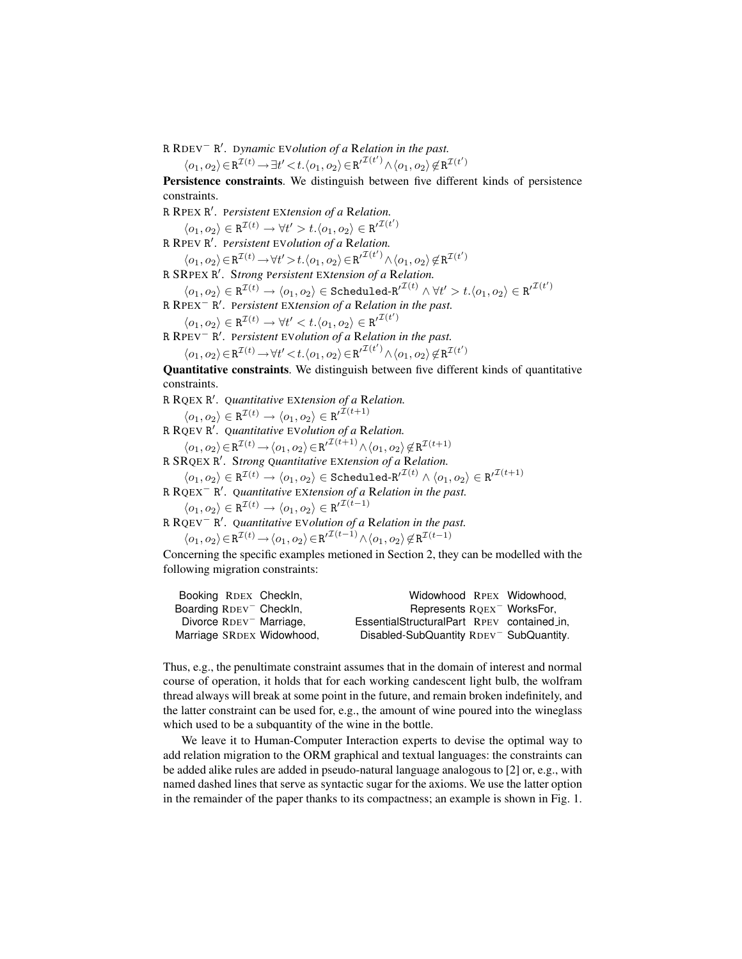R RDEV<sup>−</sup> R 0 . D*ynamic* EV*olution of a* R*elation in the past.*

$$
\langle o_1, o_2 \rangle \! \in \! \mathbf{R}^{\mathcal{I}(t)} \! \to \! \exists t' \! < \! t. \langle o_1, o_2 \rangle \! \in \! \mathbf{R'}^{\mathcal{I}(t')} \! \wedge \! \langle o_1, o_2 \rangle \! \not \in \! \mathbf{R}^{\mathcal{I}(t')}
$$

Persistence constraints. We distinguish between five different kinds of persistence constraints.

)

R RPEX R 0 . P*ersistent* EX*tension of a* R*elation.*

 $\langle o_1, o_2 \rangle \in \mathbb{R}^{\mathcal{I}(t)} \rightarrow \forall t' > t. \langle o_1, o_2 \rangle \in {\mathbb{R}^\prime}^{\mathcal{I}(t')}$ 

R RPEV R 0 . P*ersistent* EV*olution of a* R*elation.*  $\langle o_1, o_2\rangle \! \in \! \mathbf{R}^{\mathcal{I}(t)} \! \to \! \forall t' \! > \! t. \langle o_1, o_2\rangle \! \in \! \mathbf{R}^{\prime \mathcal{I}(t')} \! \wedge \! \langle o_1, o_2\rangle \! \not\in \! \mathbf{R}^{\mathcal{I}(t')}$ 

R SRPEX R 0 . S*trong* P*ersistent* EX*tension of a* R*elation.*  $\langle o_1, o_2 \rangle \in \texttt{R}^{\mathcal{I}(t)} \to \langle o_1, o_2 \rangle \in \texttt{Scheduling}_\texttt{R}^{\prime\mathcal{I}(t)} \land \forall t^\prime > t. \langle o_1, o_2 \rangle \in \texttt{R}^{\prime\mathcal{I}(t^\prime)}$ 

R RPEX<sup>−</sup> R 0 . P*ersistent* EX*tension of a* R*elation in the past.*

 $\langle o_1, o_2 \rangle \in \texttt{R}^{\mathcal{I}(t)} \rightarrow \forall t' < t . \langle o_1, o_2 \rangle \in \texttt{R}'^{\mathcal{I}(t')}$ 

R RPEV<sup>−</sup> R 0 . P*ersistent* EV*olution of a* R*elation in the past.*

 $\langle o_1, o_2\rangle \!\in\! \texttt{R}^{\mathcal{I}(t)} \!\to\! \forall t' \!<\! t. \langle o_1, o_2\rangle \!\in\! \texttt{R}'^{\mathcal{I}(t')} \!\wedge\! \langle o_1, o_2\rangle \!\not\in\! \texttt{R}^{\mathcal{I}(t')}$ 

Quantitative constraints. We distinguish between five different kinds of quantitative constraints.

R RQEX R 0 . Q*uantitative* EX*tension of a* R*elation.*

 $\langle o_1, o_2 \rangle \in \mathbb{R}^{\mathcal{I}(t)} \rightarrow \langle o_1, o_2 \rangle \in {\mathbb{R}'}^{\mathcal{I}(t+1)}$ 

R RQEV R 0 . Q*uantitative* EV*olution of a* R*elation.*  $\langle o_1, o_2 \rangle \! \in \! \mathbf{R}^{\mathcal{I}(t)} \! \to \! \langle o_1, o_2 \rangle \! \in \! \mathbf{R'}^{\mathcal{I}(t+1)} \! \wedge \! \langle o_1, o_2 \rangle \! \not\in \! \mathbf{R}^{\mathcal{I}(t+1)}$ 

R SRQEX R 0 . S*trong* Q*uantitative* EX*tension of a* R*elation.*

 $\langle o_1, o_2 \rangle \in \texttt{R}^{\mathcal{I}(t)} \rightarrow \langle o_1, o_2 \rangle \in \texttt{Scheduling}^{\mathcal{I}(t)} \land \langle o_1, o_2 \rangle \in \texttt{R'}^{\mathcal{I}(t+1)}$ 

R RQEX<sup>−</sup> R 0 . Q*uantitative* EX*tension of a* R*elation in the past.*

 $\langle o_1, o_2 \rangle \in \mathbb{R}^{\mathcal{I}(t)} \rightarrow \langle o_1, o_2 \rangle \in {\mathbb{R}'}^{\mathcal{I}(t-1)}$ R RQEV<sup>−</sup> R 0 . Q*uantitative* EV*olution of a* R*elation in the past.*

 $\langle o_1, o_2 \rangle \! \in \! \mathbf{R}^{\mathcal{I}(t)} \! \to \! \langle o_1, o_2 \rangle \! \in \! \mathbf{R'}^{\mathcal{I}(t-1)} \! \wedge \! \langle o_1, o_2 \rangle \! \not \in \! \mathbf{R}^{\mathcal{I}(t-1)}$ 

Concerning the specific examples metioned in Section 2, they can be modelled with the following migration constraints:

| Widowhood RPEX Widowhood.<br>Booking RDEX CheckIn,                                   |  |
|--------------------------------------------------------------------------------------|--|
| Boarding RDEV <sup>-</sup> CheckIn,<br>Represents ROEX <sup>-</sup> WorksFor,        |  |
| EssentialStructuralPart RPEV contained in.<br>Divorce $R$ DEV <sup>-</sup> Marriage. |  |
| Marriage SRDEX Widowhood,<br>Disabled-SubQuantity RDEV <sup>-</sup> SubQuantity.     |  |

Thus, e.g., the penultimate constraint assumes that in the domain of interest and normal course of operation, it holds that for each working candescent light bulb, the wolfram thread always will break at some point in the future, and remain broken indefinitely, and the latter constraint can be used for, e.g., the amount of wine poured into the wineglass which used to be a subquantity of the wine in the bottle.

We leave it to Human-Computer Interaction experts to devise the optimal way to add relation migration to the ORM graphical and textual languages: the constraints can be added alike rules are added in pseudo-natural language analogous to [2] or, e.g., with named dashed lines that serve as syntactic sugar for the axioms. We use the latter option in the remainder of the paper thanks to its compactness; an example is shown in Fig. 1.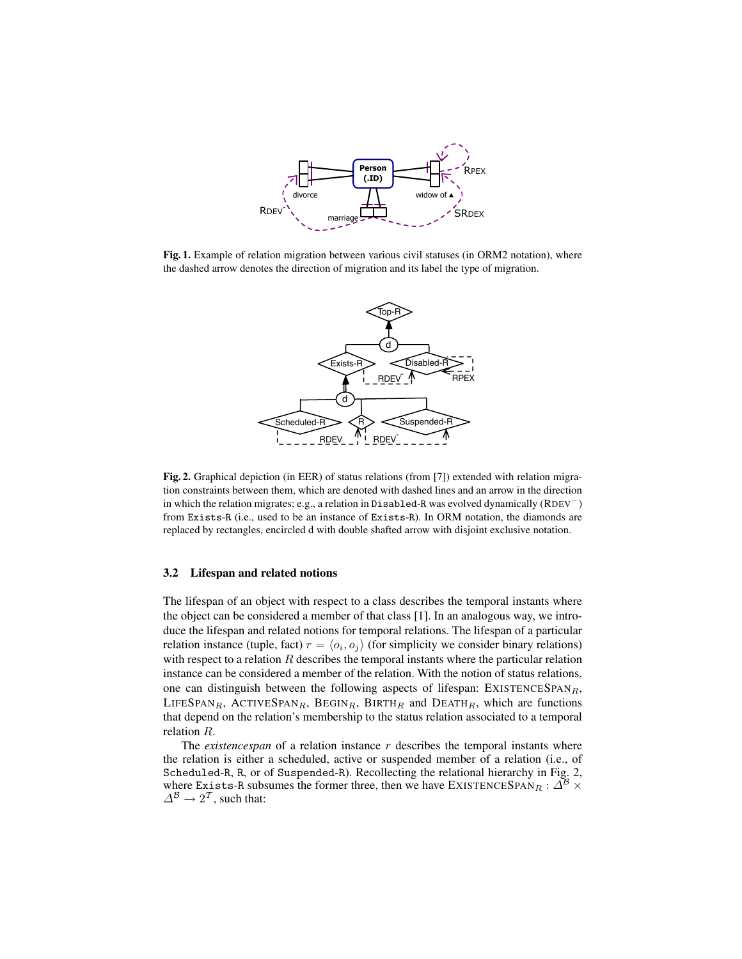

Fig. 1. Example of relation migration between various civil statuses (in ORM2 notation), where the dashed arrow denotes the direction of migration and its label the type of migration.



Fig. 2. Graphical depiction (in EER) of status relations (from [7]) extended with relation migration constraints between them, which are denoted with dashed lines and an arrow in the direction in which the relation migrates; e.g., a relation in Disabled-R was evolved dynamically (RDEV<sup>−</sup>) from Exists-R (i.e., used to be an instance of Exists-R). In ORM notation, the diamonds are replaced by rectangles, encircled d with double shafted arrow with disjoint exclusive notation.

#### 3.2 Lifespan and related notions

The lifespan of an object with respect to a class describes the temporal instants where the object can be considered a member of that class [1]. In an analogous way, we introduce the lifespan and related notions for temporal relations. The lifespan of a particular relation instance (tuple, fact)  $r = \langle o_i, o_j \rangle$  (for simplicity we consider binary relations) with respect to a relation  $R$  describes the temporal instants where the particular relation instance can be considered a member of the relation. With the notion of status relations, one can distinguish between the following aspects of lifespan: EXISTENCESPANR, LIFESPAN<sub>R</sub>, ACTIVESPAN<sub>R</sub>, BEGIN<sub>R</sub>, BIRTH<sub>R</sub> and DEATH<sub>R</sub>, which are functions that depend on the relation's membership to the status relation associated to a temporal relation R.

The *existencespan* of a relation instance r describes the temporal instants where the relation is either a scheduled, active or suspended member of a relation (i.e., of Scheduled-R, R, or of Suspended-R). Recollecting the relational hierarchy in Fig. 2, where Exists-R subsumes the former three, then we have EXISTENCESPAN $_R : \Delta^\mathcal{B} \times$  $\Delta^{\mathcal{B}} \rightarrow 2^{\mathcal{T}}$ , such that: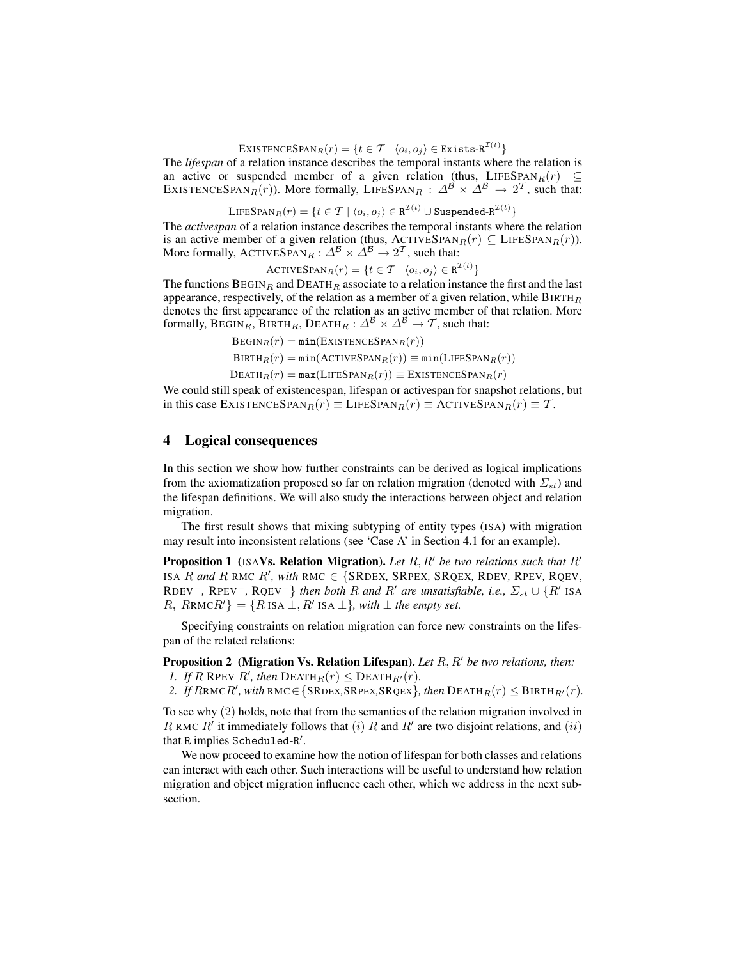EXISTENCESPAN $_R(r) = \{ t \in \mathcal{T} \mid \langle o_i, o_j \rangle \in \texttt{Exists-R}^{\mathcal{I}(t)} \}$ 

The *lifespan* of a relation instance describes the temporal instants where the relation is an active or suspended member of a given relation (thus, LIFESPAN $_R(r) \subseteq$ EXISTENCESPAN<sub>R</sub> $(r)$ ). More formally, LIFESPAN<sub>R</sub> :  $\Delta^{B} \times \Delta^{B} \rightarrow 2^{T}$ , such that:

 $\text{LIESPAN}_R(r) = \{ t \in \mathcal{T} \mid \langle o_i, o_j \rangle \in \texttt{R}^{\mathcal{I}(t)} \cup \text{Suspended-R}^{\mathcal{I}(t)} \}$ 

The *activespan* of a relation instance describes the temporal instants where the relation is an active member of a given relation (thus, ACTIVESPAN $_R(r) \subseteq$  LIFESPAN $_R(r)$ ). More formally, ACTIVESPAN $_R: \varDelta^{\mathcal{B}} \times \varDelta^{\mathcal{B}} \to 2^{\mathcal{T}}$ , such that:

ACTIVESPAN $_R(r) = \{ t \in \mathcal{T} \mid \langle o_i, o_j \rangle \in R^{\mathcal{I}(t)} \}$ 

The functions  $\text{BEGIN}_R$  and  $\text{DEATH}_R$  associate to a relation instance the first and the last appearance, respectively, of the relation as a member of a given relation, while  $BIRTH<sub>R</sub>$ denotes the first appearance of the relation as an active member of that relation. More formally, BEGIN<sub>R</sub>, BIRTH<sub>R</sub>, DEATH<sub>R</sub> :  $\Delta^{B} \times \Delta^{B} \rightarrow T$ , such that:

 $\text{BEGIN}_R(r) = \min(\text{EXISTENCESpan}_R(r))$ 

 $BIRTH_R(r) = min(ACTIVESPAN_R(r)) \equiv min(LIFESPAN_R(r))$ 

 $\text{DEATH}_R(r) = \max(\text{LIFESPAN}_R(r)) \equiv \text{EXISTENCESPAN}_R(r)$ 

We could still speak of existencespan, lifespan or activespan for snapshot relations, but in this case EXISTENCESPAN<sub>R</sub> $(r) \equiv$  LIFESPAN<sub>R</sub> $(r) \equiv$  ACTIVESPAN<sub>R</sub> $(r) \equiv T$ .

## 4 Logical consequences

In this section we show how further constraints can be derived as logical implications from the axiomatization proposed so far on relation migration (denoted with  $\Sigma_{st}$ ) and the lifespan definitions. We will also study the interactions between object and relation migration.

The first result shows that mixing subtyping of entity types (ISA) with migration may result into inconsistent relations (see 'Case A' in Section 4.1 for an example).

**Proposition 1** (ISA**Vs. Relation Migration).** Let  $R$ ,  $R'$  be two relations such that  $R'$ ISA  $R$  and  $R$  RMC  $R'$ , with RMC  $\in$  {SRDEX, SRPEX, SRQEX, RDEV, RPEV, RQEV, RDEV<sup>-</sup>, RPEV<sup>-</sup>, RQEV<sup>-</sup> } *then both R and R' are unsatisfiable, i.e.,*  $\Sigma_{st} \cup \{R' \text{ ISA}$  $R$ ,  $R$ RMC $R'$ }  $\models$  { $R$  ISA  $\bot$ ,  $R'$  ISA  $\bot$ }*, with*  $\bot$  *the empty set.* 

Specifying constraints on relation migration can force new constraints on the lifespan of the related relations:

**Proposition 2** (Migration Vs. Relation Lifespan). Let R, R' be two relations, then:

- *1.* If R RPEV R', then  $\text{DEATH}_R(r) \leq \text{DEATH}_{R'}(r)$ .
- 2. If  $R$ RMC $R'$ , with RMC  $\in$  {SRDEX, SRPEX, SRQEX}, then  $\text{DEATH}_R(r) \leq \text{BITH}_{R'}(r)$ *.*

To see why (2) holds, note that from the semantics of the relation migration involved in R RMC  $R'$  it immediately follows that  $(i)$  R and  $R'$  are two disjoint relations, and  $(ii)$ that R implies Scheduled-R'.

We now proceed to examine how the notion of lifespan for both classes and relations can interact with each other. Such interactions will be useful to understand how relation migration and object migration influence each other, which we address in the next subsection.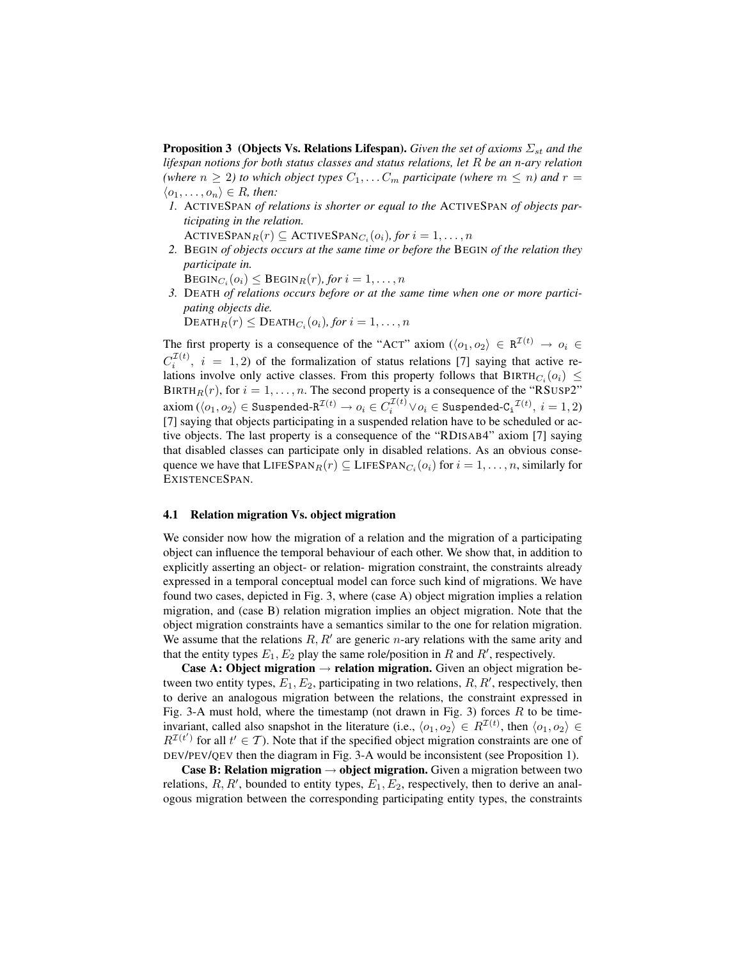**Proposition 3 (Objects Vs. Relations Lifespan).** *Given the set of axioms*  $\Sigma_{st}$  *and the lifespan notions for both status classes and status relations, let* R *be an n-ary relation (where*  $n \geq 2$ *) to which object types*  $C_1, \ldots, C_m$  *participate (where*  $m \leq n$ *) and*  $r =$  $\langle o_1, \ldots, o_n \rangle \in R$ , then:

*1.* ACTIVESPAN *of relations is shorter or equal to the* ACTIVESPAN *of objects participating in the relation.*

 $\text{ACTIVESPAN}_R(r) \subseteq \text{ACTIVESPAN}_{C_i}(o_i),$  for  $i = 1, \ldots, n$ 

*2.* BEGIN *of objects occurs at the same time or before the* BEGIN *of the relation they participate in.*

 $\texttt{BEGIN}_{C_i}(o_i) \leq \texttt{BEGIN}_R(r)$ , for  $i=1,\ldots,n$ 

*3.* DEATH *of relations occurs before or at the same time when one or more participating objects die.*

 $\text{DEATH}_R(r) \leq \text{DEATH}_{C_i}(o_i)$ , for  $i = 1, \ldots, n$ 

The first property is a consequence of the "ACT" axiom  $(\langle o_1, o_2 \rangle \in \mathbb{R}^{\mathcal{I}(t)} \to o_i \in$  $C_i^{\mathcal{I}(t)}$ ,  $i = 1, 2$ ) of the formalization of status relations [7] saying that active relations involve only active classes. From this property follows that  $\text{BIRTH}_{C_i}(o_i) \leq$ BIRTH<sub>R</sub> $(r)$ , for  $i = 1, \ldots, n$ . The second property is a consequence of the "RSUSP2"  $\text{axiom}\left(\langle o_1, o_2 \rangle \in \text{Suspended-R}^{\mathcal{I}(t)} \to o_i \in C_i^{\mathcal{I}(t)} \lor o_i \in \text{Suspended-Ci}^{\mathcal{I}(t)},\ i=1,2 \right)$ [7] saying that objects participating in a suspended relation have to be scheduled or active objects. The last property is a consequence of the "RDISAB4" axiom [7] saying that disabled classes can participate only in disabled relations. As an obvious consequence we have that  ${\rm LIESPAR}_R(r)\subseteq {\rm LIESPAR}_{C_i}(o_i)$  for  $i=1,\ldots,n,$  similarly for EXISTENCESPAN.

#### 4.1 Relation migration Vs. object migration

We consider now how the migration of a relation and the migration of a participating object can influence the temporal behaviour of each other. We show that, in addition to explicitly asserting an object- or relation- migration constraint, the constraints already expressed in a temporal conceptual model can force such kind of migrations. We have found two cases, depicted in Fig. 3, where (case A) object migration implies a relation migration, and (case B) relation migration implies an object migration. Note that the object migration constraints have a semantics similar to the one for relation migration. We assume that the relations  $R, R'$  are generic *n*-ary relations with the same arity and that the entity types  $E_1, E_2$  play the same role/position in R and R', respectively.

**Case A: Object migration**  $\rightarrow$  **relation migration.** Given an object migration between two entity types,  $E_1, E_2$ , participating in two relations,  $R, R'$ , respectively, then to derive an analogous migration between the relations, the constraint expressed in Fig. 3-A must hold, where the timestamp (not drawn in Fig. 3) forces  $R$  to be timeinvariant, called also snapshot in the literature (i.e.,  $\langle o_1, o_2 \rangle \in R^{\mathcal{I}(t)}$ , then  $\langle o_1, o_2 \rangle \in$  $R^{T(t')}$  for all  $t' \in T$ ). Note that if the specified object migration constraints are one of DEV/PEV/QEV then the diagram in Fig. 3-A would be inconsistent (see Proposition 1).

**Case B: Relation migration**  $\rightarrow$  **object migration.** Given a migration between two relations,  $R, R'$ , bounded to entity types,  $E_1, E_2$ , respectively, then to derive an analogous migration between the corresponding participating entity types, the constraints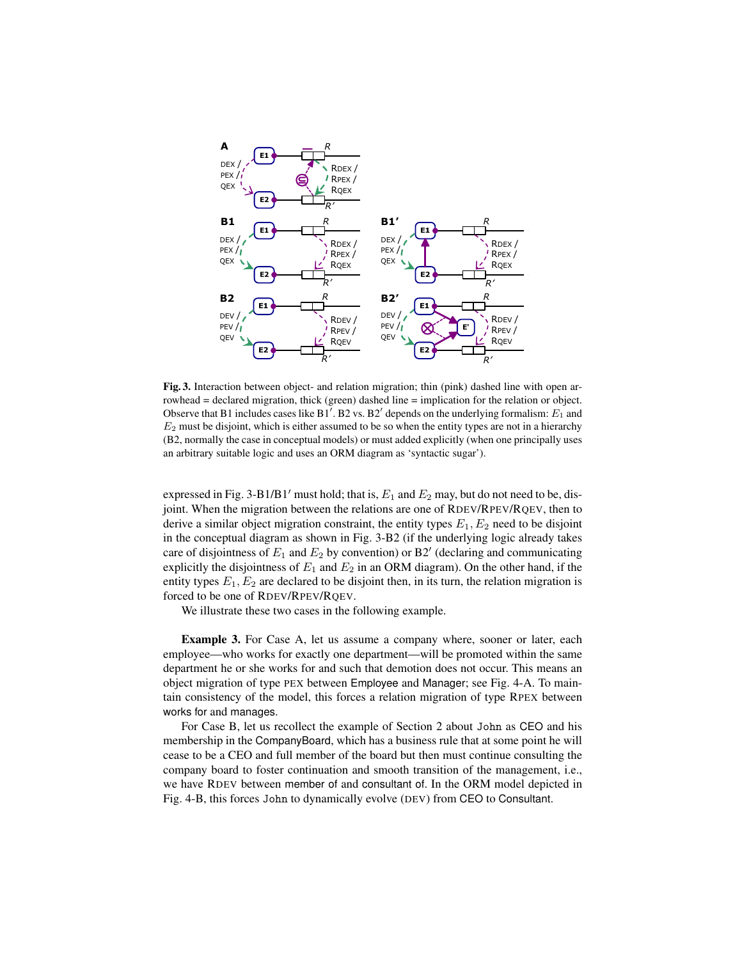

Fig. 3. Interaction between object- and relation migration; thin (pink) dashed line with open arrowhead = declared migration, thick (green) dashed line = implication for the relation or object. Observe that B1 includes cases like B1'. B2 vs. B2' depends on the underlying formalism:  $E_1$  and  $E_2$  must be disjoint, which is either assumed to be so when the entity types are not in a hierarchy (B2, normally the case in conceptual models) or must added explicitly (when one principally uses an arbitrary suitable logic and uses an ORM diagram as 'syntactic sugar').

expressed in Fig. 3-B1/B1' must hold; that is,  $E_1$  and  $E_2$  may, but do not need to be, disjoint. When the migration between the relations are one of RDEV/RPEV/RQEV, then to derive a similar object migration constraint, the entity types  $E_1, E_2$  need to be disjoint in the conceptual diagram as shown in Fig. 3-B2 (if the underlying logic already takes care of disjointness of  $E_1$  and  $E_2$  by convention) or B2' (declaring and communicating explicitly the disjointness of  $E_1$  and  $E_2$  in an ORM diagram). On the other hand, if the entity types  $E_1, E_2$  are declared to be disjoint then, in its turn, the relation migration is forced to be one of RDEV/RPEV/RQEV.

We illustrate these two cases in the following example.

Example 3. For Case A, let us assume a company where, sooner or later, each employee—who works for exactly one department—will be promoted within the same department he or she works for and such that demotion does not occur. This means an object migration of type PEX between Employee and Manager; see Fig. 4-A. To maintain consistency of the model, this forces a relation migration of type RPEX between works for and manages.

For Case B, let us recollect the example of Section 2 about John as CEO and his membership in the CompanyBoard, which has a business rule that at some point he will cease to be a CEO and full member of the board but then must continue consulting the company board to foster continuation and smooth transition of the management, i.e., we have RDEV between member of and consultant of. In the ORM model depicted in Fig. 4-B, this forces John to dynamically evolve (DEV) from CEO to Consultant.